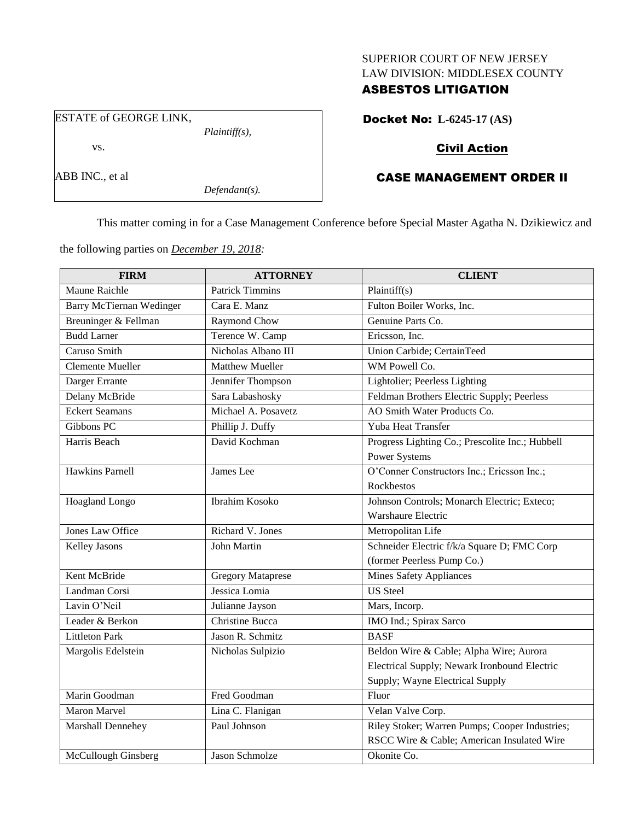#### SUPERIOR COURT OF NEW JERSEY LAW DIVISION: MIDDLESEX COUNTY

### ASBESTOS LITIGATION

ESTATE of GEORGE LINK, *Plaintiff(s),* vs.

ABB INC., et al

Docket No: **L-6245-17 (AS)**

## Civil Action

# CASE MANAGEMENT ORDER II

This matter coming in for a Case Management Conference before Special Master Agatha N. Dzikiewicz and

the following parties on *December 19, 2018:*

*Defendant(s).*

| <b>FIRM</b>                     | <b>ATTORNEY</b>          | <b>CLIENT</b>                                   |
|---------------------------------|--------------------------|-------------------------------------------------|
| Maune Raichle                   | <b>Patrick Timmins</b>   | Plaintiff(s)                                    |
| <b>Barry McTiernan Wedinger</b> | Cara E. Manz             | Fulton Boiler Works, Inc.                       |
| Breuninger & Fellman            | Raymond Chow             | Genuine Parts Co.                               |
| <b>Budd Larner</b>              | Terence W. Camp          | Ericsson, Inc.                                  |
| Caruso Smith                    | Nicholas Albano III      | Union Carbide; CertainTeed                      |
| <b>Clemente Mueller</b>         | Matthew Mueller          | WM Powell Co.                                   |
| Darger Errante                  | Jennifer Thompson        | Lightolier; Peerless Lighting                   |
| Delany McBride                  | Sara Labashosky          | Feldman Brothers Electric Supply; Peerless      |
| <b>Eckert Seamans</b>           | Michael A. Posavetz      | AO Smith Water Products Co.                     |
| Gibbons PC                      | Phillip J. Duffy         | Yuba Heat Transfer                              |
| Harris Beach                    | David Kochman            | Progress Lighting Co.; Prescolite Inc.; Hubbell |
|                                 |                          | Power Systems                                   |
| <b>Hawkins Parnell</b>          | James Lee                | O'Conner Constructors Inc.; Ericsson Inc.;      |
|                                 |                          | Rockbestos                                      |
| <b>Hoagland Longo</b>           | Ibrahim Kosoko           | Johnson Controls; Monarch Electric; Exteco;     |
|                                 |                          | Warshaure Electric                              |
| <b>Jones Law Office</b>         | Richard V. Jones         | Metropolitan Life                               |
| <b>Kelley Jasons</b>            | John Martin              | Schneider Electric f/k/a Square D; FMC Corp     |
|                                 |                          | (former Peerless Pump Co.)                      |
| Kent McBride                    | <b>Gregory Mataprese</b> | <b>Mines Safety Appliances</b>                  |
| Landman Corsi                   | Jessica Lomia            | <b>US</b> Steel                                 |
| Lavin O'Neil                    | Julianne Jayson          | Mars, Incorp.                                   |
| Leader & Berkon                 | Christine Bucca          | IMO Ind.; Spirax Sarco                          |
| <b>Littleton Park</b>           | Jason R. Schmitz         | <b>BASF</b>                                     |
| Margolis Edelstein              | Nicholas Sulpizio        | Beldon Wire & Cable; Alpha Wire; Aurora         |
|                                 |                          | Electrical Supply; Newark Ironbound Electric    |
|                                 |                          | Supply; Wayne Electrical Supply                 |
| Marin Goodman                   | Fred Goodman             | Fluor                                           |
| <b>Maron Marvel</b>             | Lina C. Flanigan         | Velan Valve Corp.                               |
| Marshall Dennehey               | Paul Johnson             | Riley Stoker; Warren Pumps; Cooper Industries;  |
|                                 |                          | RSCC Wire & Cable; American Insulated Wire      |
| McCullough Ginsberg             | <b>Jason Schmolze</b>    | Okonite Co.                                     |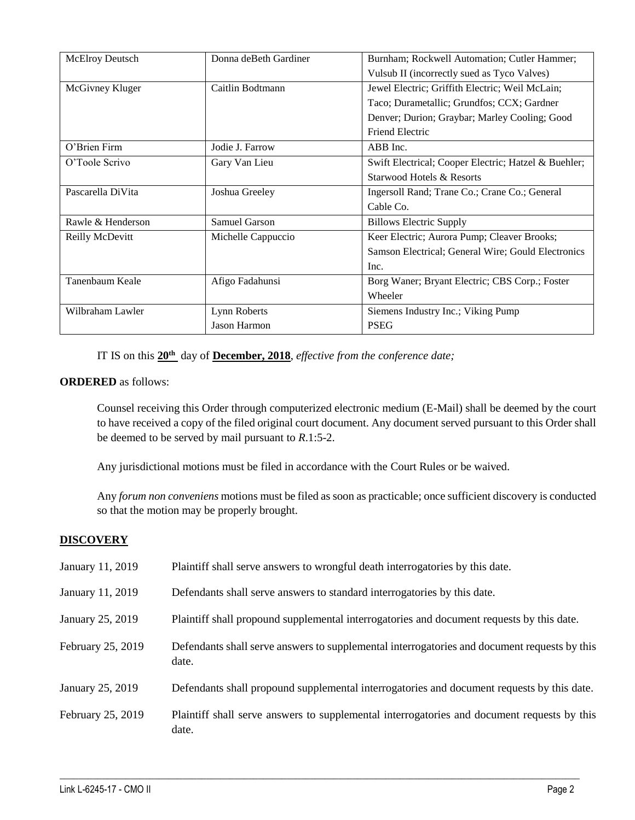| <b>McElroy Deutsch</b> | Donna deBeth Gardiner | Burnham; Rockwell Automation; Cutler Hammer;         |
|------------------------|-----------------------|------------------------------------------------------|
|                        |                       | Vulsub II (incorrectly sued as Tyco Valves)          |
| McGivney Kluger        | Caitlin Bodtmann      | Jewel Electric; Griffith Electric; Weil McLain;      |
|                        |                       | Taco; Durametallic; Grundfos; CCX; Gardner           |
|                        |                       | Denver; Durion; Graybar; Marley Cooling; Good        |
|                        |                       | <b>Friend Electric</b>                               |
| O'Brien Firm           | Jodie J. Farrow       | ABB Inc.                                             |
| O'Toole Scrivo         | Gary Van Lieu         | Swift Electrical; Cooper Electric; Hatzel & Buehler; |
|                        |                       | Starwood Hotels & Resorts                            |
| Pascarella DiVita      | Joshua Greeley        | Ingersoll Rand; Trane Co.; Crane Co.; General        |
|                        |                       | Cable Co.                                            |
| Rawle & Henderson      | Samuel Garson         | <b>Billows Electric Supply</b>                       |
| Reilly McDevitt        | Michelle Cappuccio    | Keer Electric; Aurora Pump; Cleaver Brooks;          |
|                        |                       | Samson Electrical; General Wire; Gould Electronics   |
|                        |                       | Inc.                                                 |
| Tanenbaum Keale        | Afigo Fadahunsi       | Borg Waner; Bryant Electric; CBS Corp.; Foster       |
|                        |                       | Wheeler                                              |
| Wilbraham Lawler       | Lynn Roberts          | Siemens Industry Inc.; Viking Pump                   |
|                        | Jason Harmon          | <b>PSEG</b>                                          |

IT IS on this **20th** day of **December, 2018**, *effective from the conference date;*

### **ORDERED** as follows:

Counsel receiving this Order through computerized electronic medium (E-Mail) shall be deemed by the court to have received a copy of the filed original court document. Any document served pursuant to this Order shall be deemed to be served by mail pursuant to *R*.1:5-2.

Any jurisdictional motions must be filed in accordance with the Court Rules or be waived.

Any *forum non conveniens* motions must be filed as soon as practicable; once sufficient discovery is conducted so that the motion may be properly brought.

#### **DISCOVERY**

| January 11, 2019  | Plaintiff shall serve answers to wrongful death interrogatories by this date.                         |
|-------------------|-------------------------------------------------------------------------------------------------------|
| January 11, 2019  | Defendants shall serve answers to standard interrogatories by this date.                              |
| January 25, 2019  | Plaintiff shall propound supplemental interrogatories and document requests by this date.             |
| February 25, 2019 | Defendants shall serve answers to supplemental interrogatories and document requests by this<br>date. |
| January 25, 2019  | Defendants shall propound supplemental interrogatories and document requests by this date.            |
| February 25, 2019 | Plaintiff shall serve answers to supplemental interrogatories and document requests by this<br>date.  |

 $\_$  ,  $\_$  ,  $\_$  ,  $\_$  ,  $\_$  ,  $\_$  ,  $\_$  ,  $\_$  ,  $\_$  ,  $\_$  ,  $\_$  ,  $\_$  ,  $\_$  ,  $\_$  ,  $\_$  ,  $\_$  ,  $\_$  ,  $\_$  ,  $\_$  ,  $\_$  ,  $\_$  ,  $\_$  ,  $\_$  ,  $\_$  ,  $\_$  ,  $\_$  ,  $\_$  ,  $\_$  ,  $\_$  ,  $\_$  ,  $\_$  ,  $\_$  ,  $\_$  ,  $\_$  ,  $\_$  ,  $\_$  ,  $\_$  ,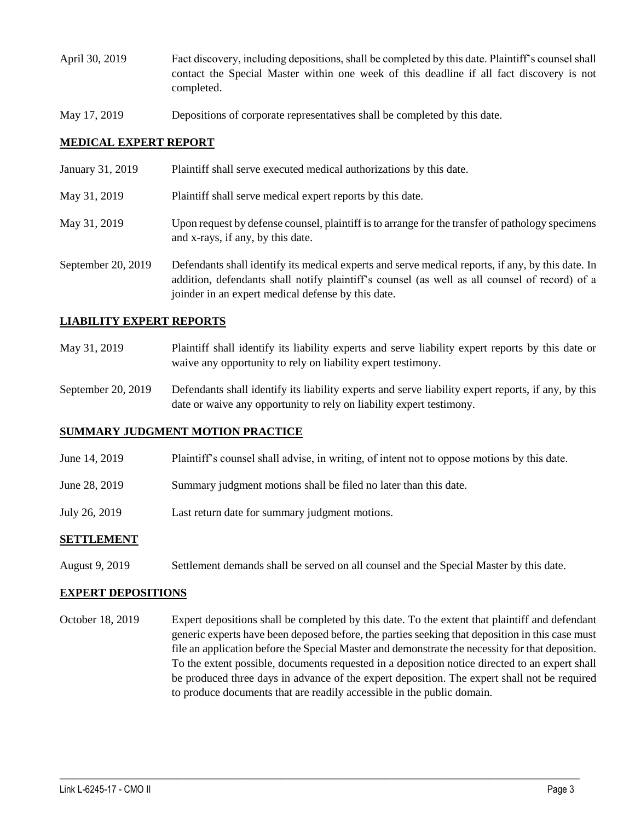- April 30, 2019 Fact discovery, including depositions, shall be completed by this date. Plaintiff's counsel shall contact the Special Master within one week of this deadline if all fact discovery is not completed.
- May 17, 2019 Depositions of corporate representatives shall be completed by this date.

### **MEDICAL EXPERT REPORT**

| January 31, 2019   | Plaintiff shall serve executed medical authorizations by this date.                                                                                                                                                                                      |
|--------------------|----------------------------------------------------------------------------------------------------------------------------------------------------------------------------------------------------------------------------------------------------------|
| May 31, 2019       | Plaintiff shall serve medical expert reports by this date.                                                                                                                                                                                               |
| May 31, 2019       | Upon request by defense counsel, plaintiff is to arrange for the transfer of pathology specimens<br>and x-rays, if any, by this date.                                                                                                                    |
| September 20, 2019 | Defendants shall identify its medical experts and serve medical reports, if any, by this date. In<br>addition, defendants shall notify plaintiff's counsel (as well as all counsel of record) of a<br>joinder in an expert medical defense by this date. |

### **LIABILITY EXPERT REPORTS**

- May 31, 2019 Plaintiff shall identify its liability experts and serve liability expert reports by this date or waive any opportunity to rely on liability expert testimony.
- September 20, 2019 Defendants shall identify its liability experts and serve liability expert reports, if any, by this date or waive any opportunity to rely on liability expert testimony.

#### **SUMMARY JUDGMENT MOTION PRACTICE**

- June 14, 2019 Plaintiff's counsel shall advise, in writing, of intent not to oppose motions by this date.
- June 28, 2019 Summary judgment motions shall be filed no later than this date.
- July 26, 2019 Last return date for summary judgment motions.

#### **SETTLEMENT**

August 9, 2019 Settlement demands shall be served on all counsel and the Special Master by this date.

#### **EXPERT DEPOSITIONS**

October 18, 2019 Expert depositions shall be completed by this date. To the extent that plaintiff and defendant generic experts have been deposed before, the parties seeking that deposition in this case must file an application before the Special Master and demonstrate the necessity for that deposition. To the extent possible, documents requested in a deposition notice directed to an expert shall be produced three days in advance of the expert deposition. The expert shall not be required to produce documents that are readily accessible in the public domain.

 $\_$  ,  $\_$  ,  $\_$  ,  $\_$  ,  $\_$  ,  $\_$  ,  $\_$  ,  $\_$  ,  $\_$  ,  $\_$  ,  $\_$  ,  $\_$  ,  $\_$  ,  $\_$  ,  $\_$  ,  $\_$  ,  $\_$  ,  $\_$  ,  $\_$  ,  $\_$  ,  $\_$  ,  $\_$  ,  $\_$  ,  $\_$  ,  $\_$  ,  $\_$  ,  $\_$  ,  $\_$  ,  $\_$  ,  $\_$  ,  $\_$  ,  $\_$  ,  $\_$  ,  $\_$  ,  $\_$  ,  $\_$  ,  $\_$  ,